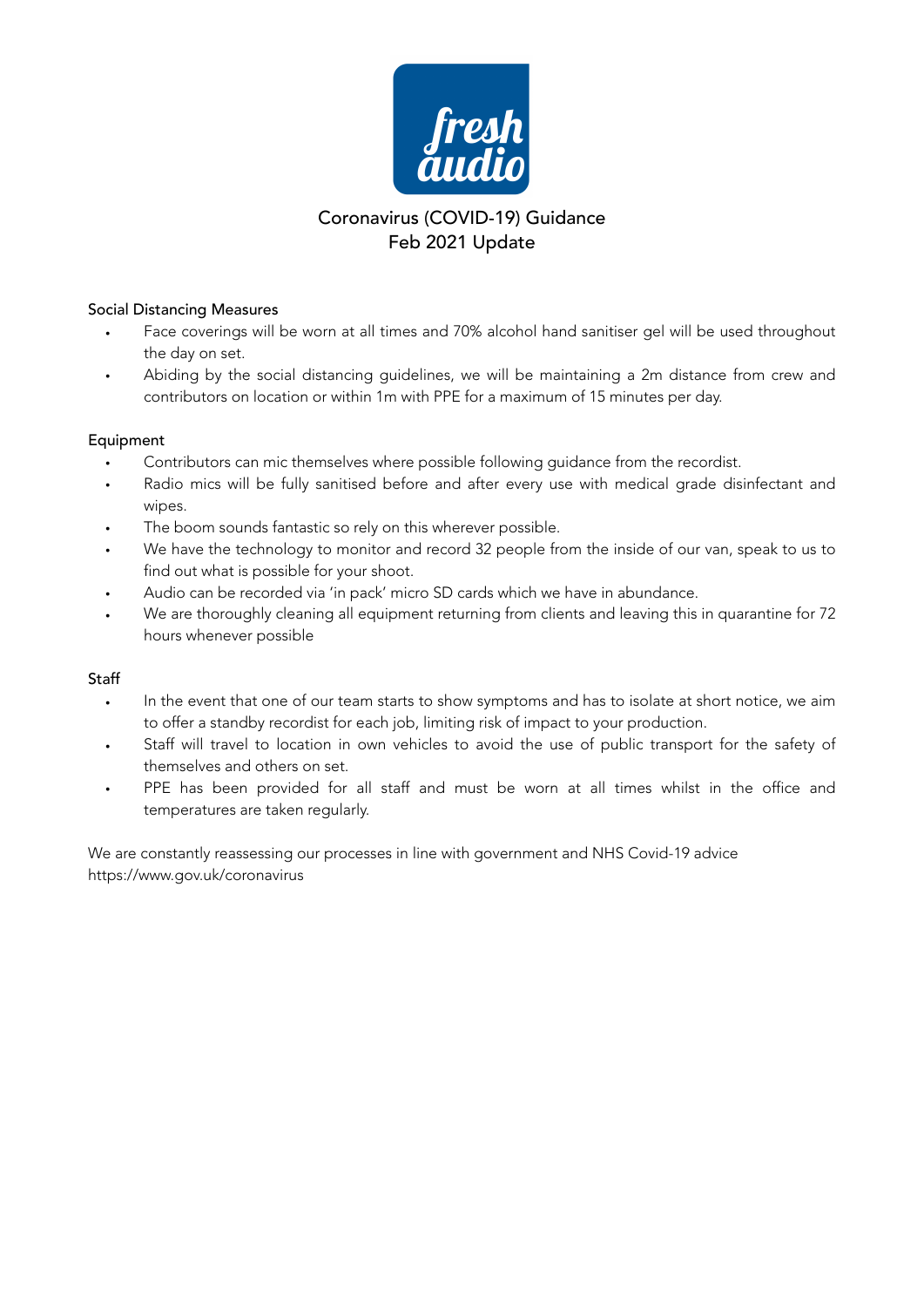

## Coronavirus (COVID-19) Guidance Feb 2021 Update

## Social Distancing Measures

- Face coverings will be worn at all times and 70% alcohol hand sanitiser gel will be used throughout the day on set.
- Abiding by the social distancing guidelines, we will be maintaining a 2m distance from crew and contributors on location or within 1m with PPE for a maximum of 15 minutes per day.

## Equipment

- Contributors can mic themselves where possible following guidance from the recordist.
- Radio mics will be fully sanitised before and after every use with medical grade disinfectant and wipes.
- The boom sounds fantastic so rely on this wherever possible.
- We have the technology to monitor and record 32 people from the inside of our van, speak to us to find out what is possible for your shoot.
- Audio can be recorded via 'in pack' micro SD cards which we have in abundance.
- We are thoroughly cleaning all equipment returning from clients and leaving this in quarantine for 72 hours whenever possible

## Staff

- In the event that one of our team starts to show symptoms and has to isolate at short notice, we aim to offer a standby recordist for each job, limiting risk of impact to your production.
- Staff will travel to location in own vehicles to avoid the use of public transport for the safety of themselves and others on set.
- PPE has been provided for all staff and must be worn at all times whilst in the office and temperatures are taken regularly.

We are constantly reassessing our processes in line with government and NHS Covid-19 advice https://www.gov.uk/coronavirus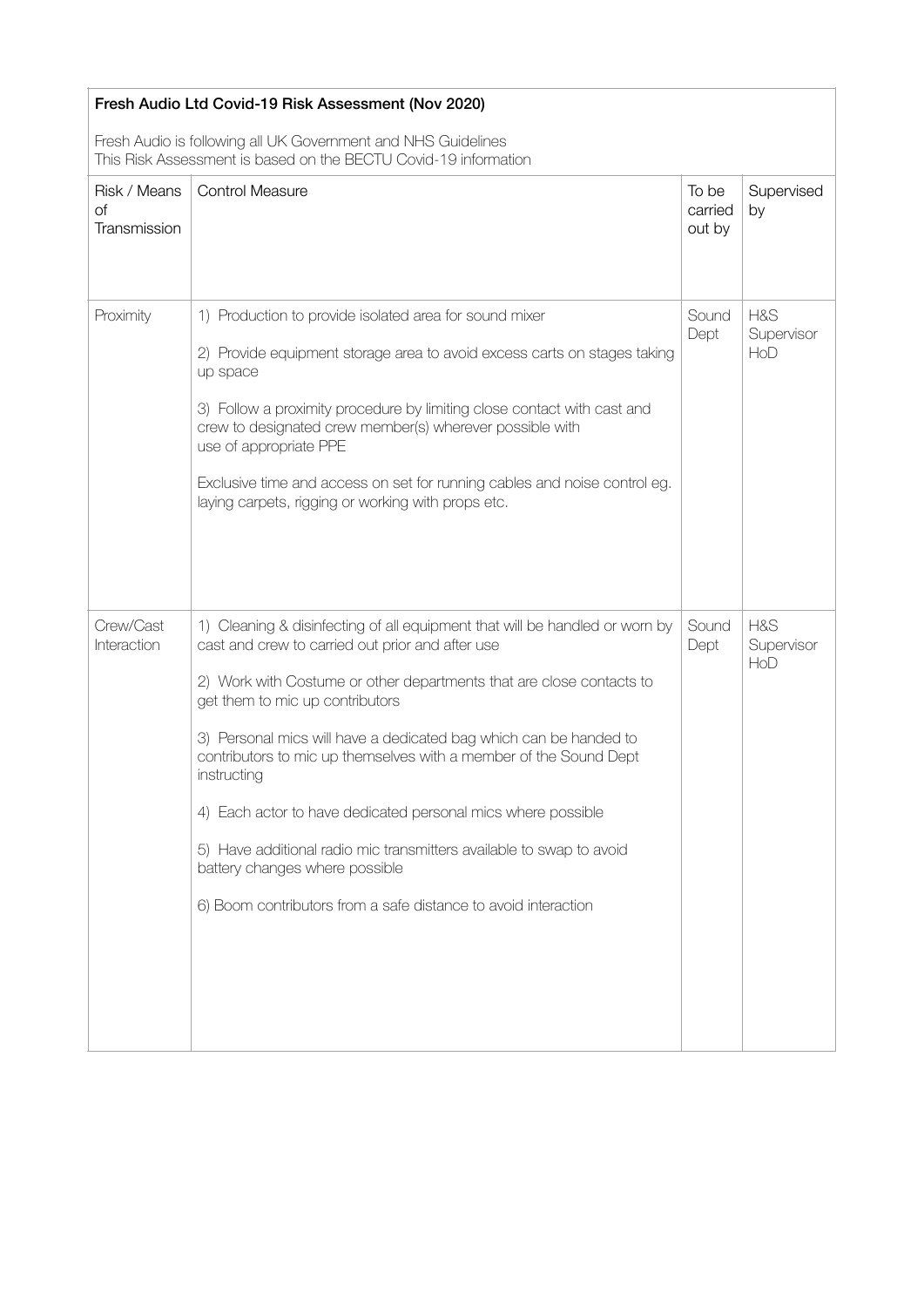| Fresh Audio Ltd Covid-19 Risk Assessment (Nov 2020)                                                                              |                                                                                                                                                                                                                                                                                                                                                                                                                                                                                                                                                                                                                                                 |                            |                          |  |  |  |
|----------------------------------------------------------------------------------------------------------------------------------|-------------------------------------------------------------------------------------------------------------------------------------------------------------------------------------------------------------------------------------------------------------------------------------------------------------------------------------------------------------------------------------------------------------------------------------------------------------------------------------------------------------------------------------------------------------------------------------------------------------------------------------------------|----------------------------|--------------------------|--|--|--|
| Fresh Audio is following all UK Government and NHS Guidelines<br>This Risk Assessment is based on the BECTU Covid-19 information |                                                                                                                                                                                                                                                                                                                                                                                                                                                                                                                                                                                                                                                 |                            |                          |  |  |  |
| Risk / Means<br>Оf<br>Transmission                                                                                               | <b>Control Measure</b>                                                                                                                                                                                                                                                                                                                                                                                                                                                                                                                                                                                                                          | To be<br>carried<br>out by | Supervised<br>by         |  |  |  |
| Proximity                                                                                                                        | 1) Production to provide isolated area for sound mixer<br>2) Provide equipment storage area to avoid excess carts on stages taking<br>up space<br>3) Follow a proximity procedure by limiting close contact with cast and<br>crew to designated crew member(s) wherever possible with<br>use of appropriate PPE<br>Exclusive time and access on set for running cables and noise control eg.<br>laying carpets, rigging or working with props etc.                                                                                                                                                                                              | Sound<br>Dept              | H&S<br>Supervisor<br>HoD |  |  |  |
| Crew/Cast<br>Interaction                                                                                                         | 1) Cleaning & disinfecting of all equipment that will be handled or worn by<br>cast and crew to carried out prior and after use<br>2) Work with Costume or other departments that are close contacts to<br>get them to mic up contributors<br>3) Personal mics will have a dedicated bag which can be handed to<br>contributors to mic up themselves with a member of the Sound Dept<br>instructing<br>4) Each actor to have dedicated personal mics where possible<br>5) Have additional radio mic transmitters available to swap to avoid<br>battery changes where possible<br>6) Boom contributors from a safe distance to avoid interaction | Sound<br>Dept              | H&S<br>Supervisor<br>HoD |  |  |  |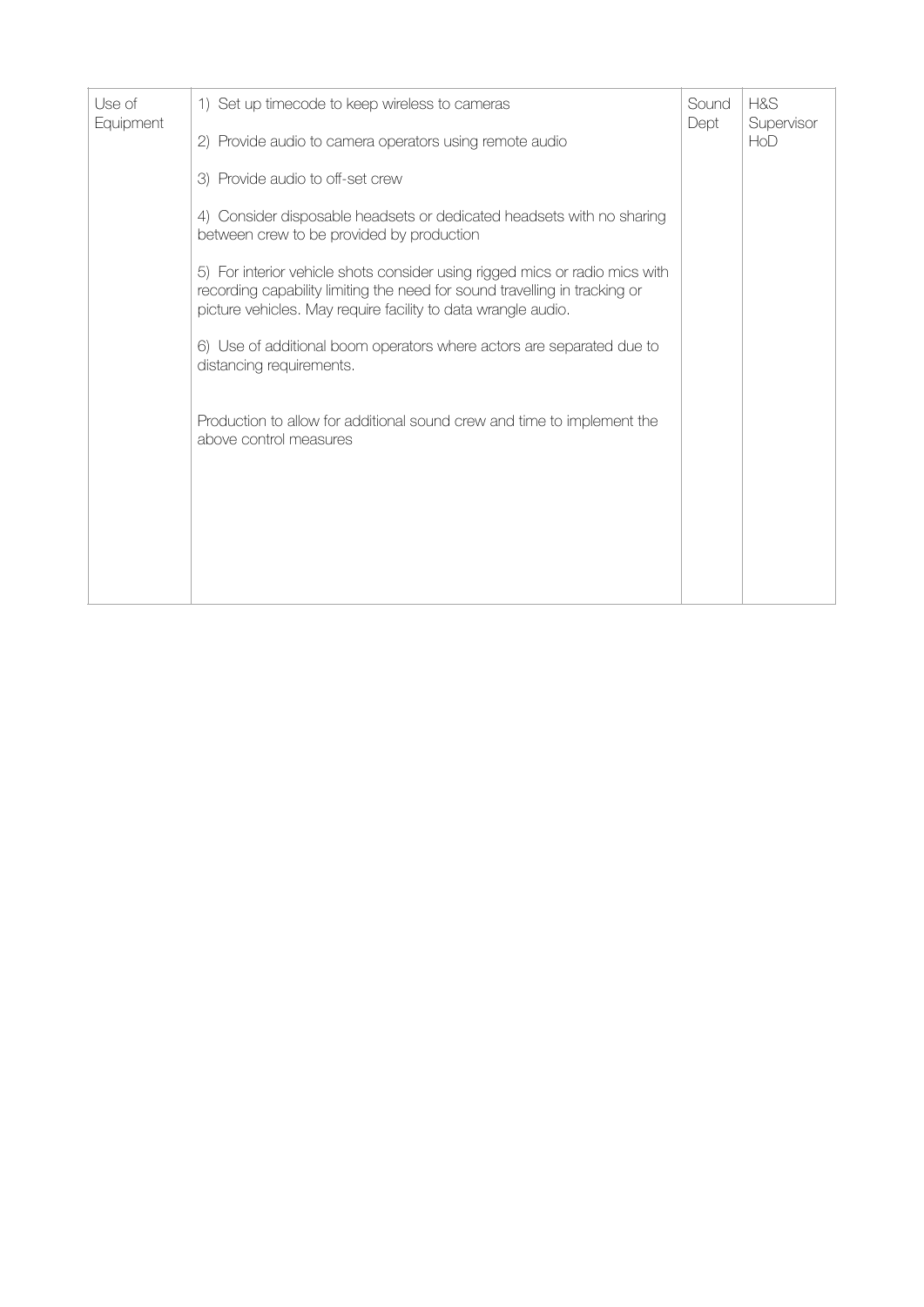| Use of<br>Equipment | 1) Set up timecode to keep wireless to cameras<br>2) Provide audio to camera operators using remote audio                                                                                                                  | Sound<br>Dept | H&S<br>Supervisor<br>HoD |
|---------------------|----------------------------------------------------------------------------------------------------------------------------------------------------------------------------------------------------------------------------|---------------|--------------------------|
|                     | 3) Provide audio to off-set crew                                                                                                                                                                                           |               |                          |
|                     | 4) Consider disposable headsets or dedicated headsets with no sharing<br>between crew to be provided by production                                                                                                         |               |                          |
|                     | 5) For interior vehicle shots consider using rigged mics or radio mics with<br>recording capability limiting the need for sound travelling in tracking or<br>picture vehicles. May require facility to data wrangle audio. |               |                          |
|                     | 6) Use of additional boom operators where actors are separated due to<br>distancing requirements.                                                                                                                          |               |                          |
|                     | Production to allow for additional sound crew and time to implement the<br>above control measures                                                                                                                          |               |                          |
|                     |                                                                                                                                                                                                                            |               |                          |
|                     |                                                                                                                                                                                                                            |               |                          |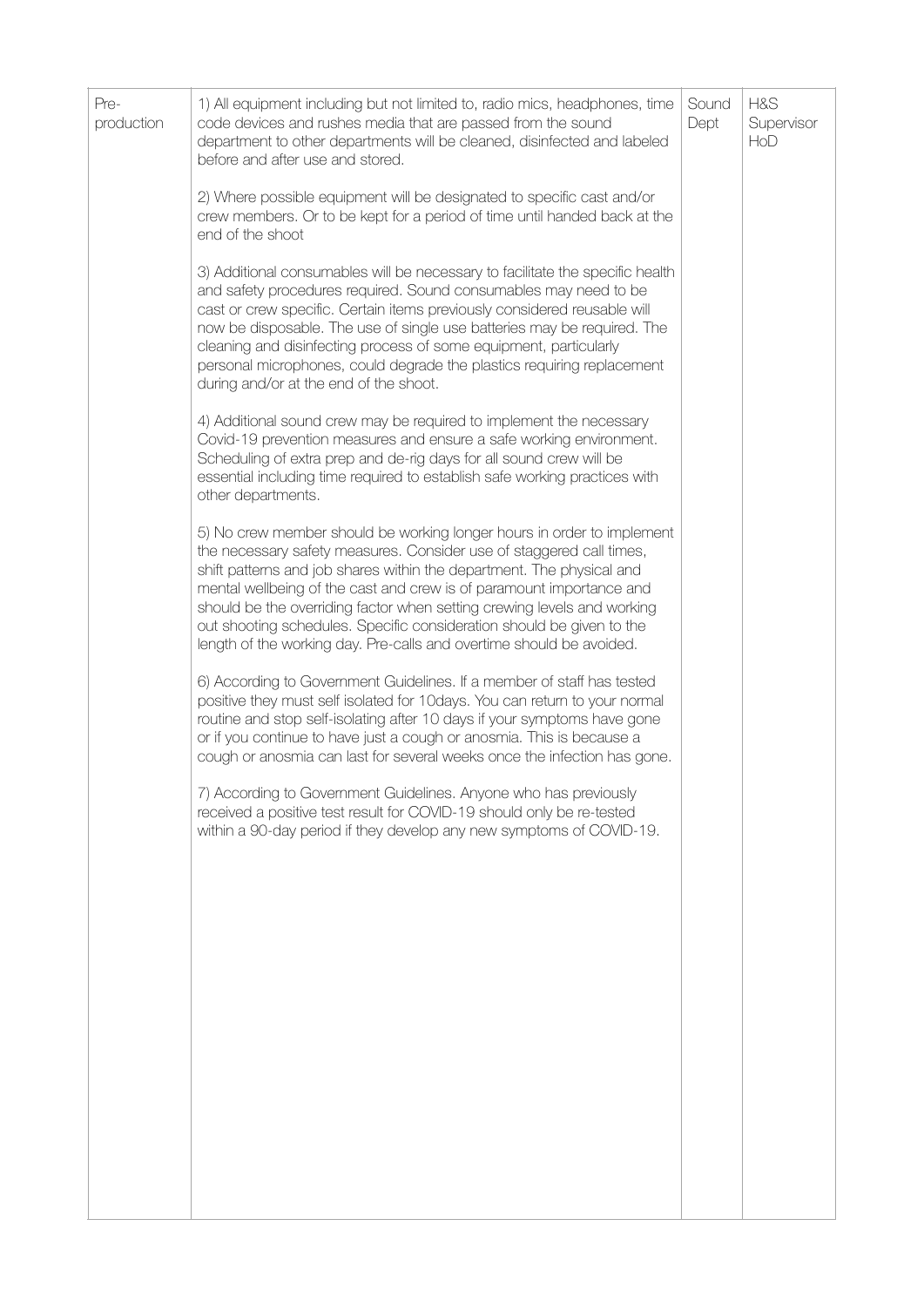| 2) Where possible equipment will be designated to specific cast and/or<br>crew members. Or to be kept for a period of time until handed back at the<br>end of the shoot                                                                                                                                                                                                                                                                                                                                                     |  |
|-----------------------------------------------------------------------------------------------------------------------------------------------------------------------------------------------------------------------------------------------------------------------------------------------------------------------------------------------------------------------------------------------------------------------------------------------------------------------------------------------------------------------------|--|
|                                                                                                                                                                                                                                                                                                                                                                                                                                                                                                                             |  |
| 3) Additional consumables will be necessary to facilitate the specific health<br>and safety procedures required. Sound consumables may need to be<br>cast or crew specific. Certain items previously considered reusable will<br>now be disposable. The use of single use batteries may be required. The<br>cleaning and disinfecting process of some equipment, particularly<br>personal microphones, could degrade the plastics requiring replacement<br>during and/or at the end of the shoot.                           |  |
| 4) Additional sound crew may be required to implement the necessary<br>Covid-19 prevention measures and ensure a safe working environment.<br>Scheduling of extra prep and de-rig days for all sound crew will be<br>essential including time required to establish safe working practices with<br>other departments.                                                                                                                                                                                                       |  |
| 5) No crew member should be working longer hours in order to implement<br>the necessary safety measures. Consider use of staggered call times,<br>shift patterns and job shares within the department. The physical and<br>mental wellbeing of the cast and crew is of paramount importance and<br>should be the overriding factor when setting crewing levels and working<br>out shooting schedules. Specific consideration should be given to the<br>length of the working day. Pre-calls and overtime should be avoided. |  |
| 6) According to Government Guidelines. If a member of staff has tested<br>positive they must self isolated for 10days. You can return to your normal<br>routine and stop self-isolating after 10 days if your symptoms have gone<br>or if you continue to have just a cough or anosmia. This is because a<br>cough or anosmia can last for several weeks once the infection has gone.                                                                                                                                       |  |
| 7) According to Government Guidelines. Anyone who has previously<br>received a positive test result for COVID-19 should only be re-tested<br>within a 90-day period if they develop any new symptoms of COVID-19.                                                                                                                                                                                                                                                                                                           |  |
|                                                                                                                                                                                                                                                                                                                                                                                                                                                                                                                             |  |
|                                                                                                                                                                                                                                                                                                                                                                                                                                                                                                                             |  |
|                                                                                                                                                                                                                                                                                                                                                                                                                                                                                                                             |  |